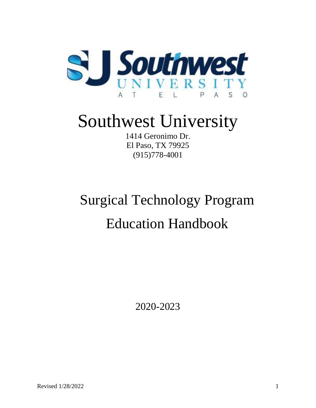

# Southwest University

1414 Geronimo Dr. El Paso, TX 79925 (915)778-4001

# Surgical Technology Program Education Handbook

2020-2023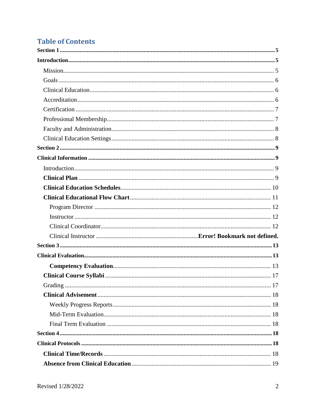### **Table of Contents**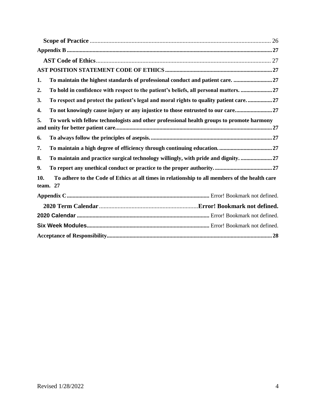| To maintain the highest standards of professional conduct and patient care. 27<br>1.                              |
|-------------------------------------------------------------------------------------------------------------------|
| To hold in confidence with respect to the patient's beliefs, all personal matters. 27<br>2.                       |
| To respect and protect the patient's legal and moral rights to quality patient care27<br>3.                       |
| To not knowingly cause injury or any injustice to those entrusted to our care<br>4.                               |
| 5.<br>To work with fellow technologists and other professional health groups to promote harmony                   |
| 6.                                                                                                                |
| 7.                                                                                                                |
| To maintain and practice surgical technology willingly, with pride and dignity. 27<br>8.                          |
| 9.                                                                                                                |
| To adhere to the Code of Ethics at all times in relationship to all members of the health care<br>10.<br>team. 27 |
|                                                                                                                   |
|                                                                                                                   |
|                                                                                                                   |
|                                                                                                                   |
|                                                                                                                   |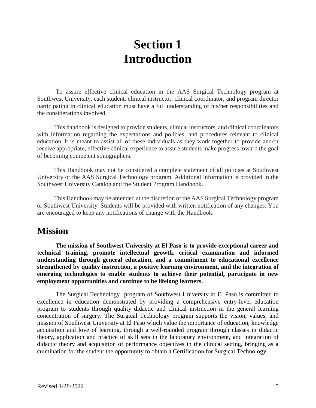## **Section 1 Introduction**

<span id="page-4-1"></span><span id="page-4-0"></span>To assure effective clinical education in the AAS Surgical Technology program at Southwest University, each student, clinical instructor, clinical coordinator, and program director participating in clinical education must have a full understanding of his/her responsibilities and the considerations involved.

 This handbook is designed to provide students, clinical instructors, and clinical coordinators with information regarding the expectations and policies, and procedures relevant to clinical education. It is meant to assist all of these individuals as they work together to provide and/or receive appropriate, effective clinical experience to assure students make progress toward the goal of becoming competent sonographers.

 This Handbook may not be considered a complete statement of all policies at Southwest University or the AAS Surgical Technology program. Additional information is provided in the Southwest University Catalog and the Student Program Handbook.

 This Handbook may be amended at the discretion of the AAS Surgical Technology program or Southwest University. Students will be provided with written notification of any changes. You are encouraged to keep any notifications of change with the Handbook.

### <span id="page-4-2"></span>**Mission**

**The mission of Southwest University at El Paso is to provide exceptional career and technical training, promote intellectual growth, critical examination and informed understanding through general education, and a commitment to educational excellence strengthened by quality instruction, a positive learning environment, and the integration of emerging technologies to enable students to achieve their potential, participate in new employment opportunities and continue to be lifelong learners.** 

The Surgical Technology program of Southwest University at El Paso is committed to excellence in education demonstrated by providing a comprehensive entry-level education program to students through quality didactic and clinical instruction in the general learning concentration of surgery. The Surgical Technology program supports the vision, values, and mission of Southwest University at El Paso which value the importance of education, knowledge acquisition and love of learning, through a well-rounded program through classes in didactic theory, application and practice of skill sets in the laboratory environment, and integration of didactic theory and acquisition of performance objectives in the clinical setting, bringing as a culmination for the student the opportunity to obtain a Certification for Surgical Technology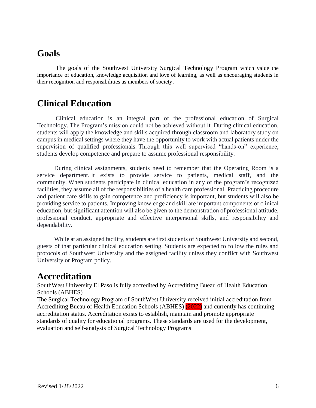### <span id="page-5-0"></span>**Goals**

The goals of the Southwest University Surgical Technology Program which value the importance of education, knowledge acquisition and love of learning, as well as encouraging students in their recognition and responsibilities as members of society.

#### <span id="page-5-1"></span>**Clinical Education**

Clinical education is an integral part of the professional education of Surgical Technology. The Program's mission could not be achieved without it. During clinical education, students will apply the knowledge and skills acquired through classroom and laboratory study on campus in medical settings where they have the opportunity to work with actual patients under the supervision of qualified professionals. Through this well supervised "hands-on" experience, students develop competence and prepare to assume professional responsibility.

 During clinical assignments, students need to remember that the Operating Room is a service department. It exists to provide service to patients, medical staff, and the community. When students participate in clinical education in any of the program's recognized facilities, they assume all of the responsibilities of a health care professional. Practicing procedure and patient care skills to gain competence and proficiency is important, but students will also be providing service to patients. Improving knowledge and skill are important components of clinical education, but significant attention will also be given to the demonstration of professional attitude, professional conduct, appropriate and effective interpersonal skills, and responsibility and dependability.

 While at an assigned facility, students are first students of Southwest University and second, guests of that particular clinical education setting. Students are expected to follow the rules and protocols of Southwest University and the assigned facility unless they conflict with Southwest University or Program policy.

### <span id="page-5-2"></span>**Accreditation**

SouthWest University El Paso is fully accredited by Accredititng Bueau of Health Education Schools (ABHES)

The Surgical Technology Program of SouthWest University received initial accreditation from Accredititng Bueau of Health Education Schools (ABHES) (2022) and currently has continuing accreditation status. Accreditation exists to establish, maintain and promote appropriate standards of quality for educational programs. These standards are used for the development, evaluation and self-analysis of Surgical Technology Programs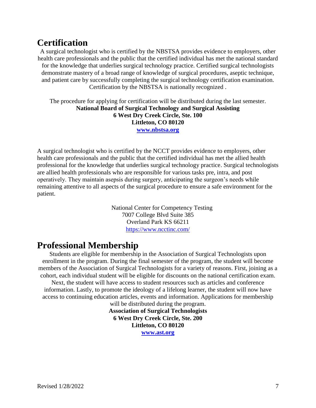### <span id="page-6-0"></span>**Certification**

A surgical technologist who is certified by the NBSTSA provides evidence to employers, other health care professionals and the public that the certified individual has met the national standard for the knowledge that underlies surgical technology practice. Certified surgical technologists demonstrate mastery of a broad range of knowledge of surgical procedures, aseptic technique, and patient care by successfully completing the surgical technology certification examination. Certification by the NBSTSA is nationally recognized .

The procedure for applying for certification will be distributed during the last semester. **National Board of Surgical Technology and Surgical Assisting 6 West Dry Creek Circle, Ste. 100 Littleton, CO 80120 [www.nbstsa.org](http://www.nbstsa.org/)**

A surgical technologist who is certified by the NCCT provides evidence to employers, other health care professionals and the public that the certified individual has met the allied health professional for the knowledge that underlies surgical technology practice. Surgical technologists are allied health professionals who are responsible for various tasks pre, intra, and post operatively. They maintain asepsis during surgery, anticipating the surgeon's needs while remaining attentive to all aspects of the surgical procedure to ensure a safe environment for the patient.

> National Center for Competency Testing 7007 College Blvd Suite 385 Overland Park KS 66211 <https://www.ncctinc.com/>

### <span id="page-6-1"></span>**Professional Membership**

Students are eligible for membership in the Association of Surgical Technologists upon enrollment in the program. During the final semester of the program, the student will become members of the Association of Surgical Technologists for a variety of reasons. First, joining as a cohort, each individual student will be eligible for discounts on the national certification exam.

Next, the student will have access to student resources such as articles and conference information. Lastly, to promote the ideology of a lifelong learner, the student will now have access to continuing education articles, events and information. Applications for membership

will be distributed during the program. **Association of Surgical Technologists 6 West Dry Creek Circle, Ste. 200 Littleton, CO 80120 [www.ast.org](http://www.ast.org/)**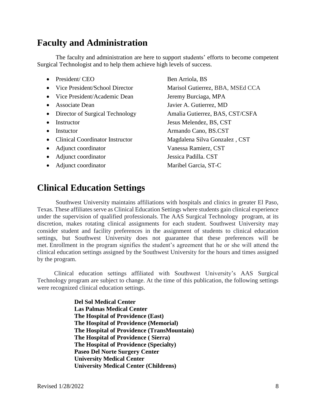### <span id="page-7-0"></span>**Faculty and Administration**

The faculty and administration are here to support students' efforts to become competent Surgical Technologist and to help them achieve high levels of success.

- President/ CEO Ben Arriola, BS • Vice President/School Director Marisol Gutierrez, BBA, MSEd CCA • Vice President/Academic Dean Jeremy Burciaga, MPA • Associate Dean Javier A. Gutierrez, MD • Director of Surgical Technology Amalia Gutierrez, BAS, CST/CSFA • Instructor Jesus Melendez, BS, CST • Instuctor **Armando Cano, BS.CST** • Clinical Coordinator Instructor Magdalena Silva Gonzalez , CST • Adjunct coordinator Vanessa Ramierz, CST • Adjunct coordinator Jessica Padilla. CST
- Adjunct coordinator Maribel Garcia, ST-C

### <span id="page-7-1"></span>**Clinical Education Settings**

Southwest University maintains affiliations with hospitals and clinics in greater El Paso, Texas. These affiliates serve as Clinical Education Settings where students gain clinical experience under the supervision of qualified professionals. The AAS Surgical Technology program, at its discretion, makes rotating clinical assignments for each student. Southwest University may consider student and facility preferences in the assignment of students to clinical education settings, but Southwest University does not guarantee that these preferences will be met. Enrollment in the program signifies the student's agreement that he or she will attend the clinical education settings assigned by the Southwest University for the hours and times assigned by the program.

 Clinical education settings affiliated with Southwest University's AAS Surgical Technology program are subject to change. At the time of this publication, the following settings were recognized clinical education settings.

> **Del Sol Medical Center Las Palmas Medical Center The Hospital of Providence (East) The Hospital of Providence (Memorial) The Hospital of Providence (TransMountain) The Hospital of Providence ( Sierra) The Hospital of Providence (Specialty) Paseo Del Norte Surgery Center University Medical Center University Medical Center (Childrens)**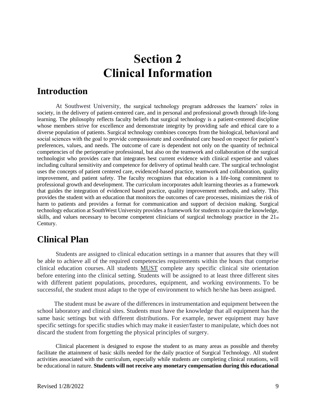## **Section 2 Clinical Information**

#### <span id="page-8-2"></span><span id="page-8-1"></span><span id="page-8-0"></span>**Introduction**

At Southwest University, the surgical technology program addresses the learners' roles in society, in the delivery of patient-centered care, and in personal and professional growth through life-long learning. The philosophy reflects faculty beliefs that surgical technology is a patient-centered discipline whose members strive for excellence and demonstrate integrity by providing safe and ethical care to a diverse population of patients. Surgical technology combines concepts from the biological, behavioral and social sciences with the goal to provide compassionate and coordinated care based on respect for patient's preferences, values, and needs. The outcome of care is dependent not only on the quantity of technical competencies of the perioperative professional, but also on the teamwork and collaboration of the surgical technologist who provides care that integrates best current evidence with clinical expertise and values including cultural sensitivity and competence for delivery of optimal health care. The surgical technologist uses the concepts of patient centered care, evidenced-based practice, teamwork and collaboration, quality improvement, and patient safety. The faculty recognizes that education is a life-long commitment to professional growth and development. The curriculum incorporates adult learning theories as a framework that guides the integration of evidenced based practice, quality improvement methods, and safety. This provides the student with an education that monitors the outcomes of care processes, minimizes the risk of harm to patients and provides a format for communication and support of decision making. Surgical technology education at SouthWest University provides a framework for students to acquire the knowledge, skills, and values necessary to become competent clinicians of surgical technology practice in the 21st Century.

### <span id="page-8-3"></span>**Clinical Plan**

Students are assigned to clinical education settings in a manner that assures that they will be able to achieve all of the required competencies requirements within the hours that comprise clinical education courses. All students MUST complete any specific clinical site orientation before entering into the clinical setting. Students will be assigned to at least three different sites with different patient populations, procedures, equipment, and working environments. To be successful, the student must adapt to the type of environment to which he/she has been assigned.

 The student must be aware of the differences in instrumentation and equipment between the school laboratory and clinical sites. Students must have the knowledge that all equipment has the same basic settings but with different distributions. For example, newer equipment may have specific settings for specific studies which may make it easier/faster to manipulate, which does not discard the student from forgetting the physical principles of surgery.

Clinical placement is designed to expose the student to as many areas as possible and thereby facilitate the attainment of basic skills needed for the daily practice of Surgical Technology. All student activities associated with the curriculum, especially while students are completing clinical rotations, will be educational in nature. **Students will not receive any monetary compensation during this educational**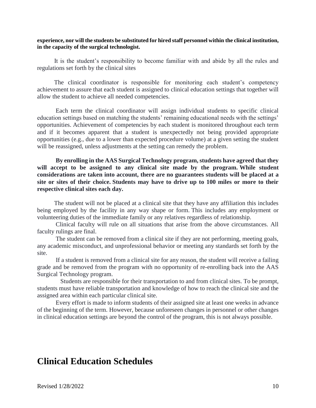#### **experience, nor will the students be substituted for hired staff personnel within the clinical institution, in the capacity of the surgical technologist.**

 It is the student's responsibility to become familiar with and abide by all the rules and regulations set forth by the clinical sites

 The clinical coordinator is responsible for monitoring each student's competency achievement to assure that each student is assigned to clinical education settings that together will allow the student to achieve all needed competencies.

Each term the clinical coordinator will assign individual students to specific clinical education settings based on matching the students' remaining educational needs with the settings' opportunities. Achievement of competencies by each student is monitored throughout each term and if it becomes apparent that a student is unexpectedly not being provided appropriate opportunities (e.g., due to a lower than expected procedure volume) at a given setting the student will be reassigned, unless adjustments at the setting can remedy the problem.

**By enrolling in the AAS Surgical Technology program, students have agreed that they will accept to be assigned to any clinical site made by the program. While student considerations are taken into account, there are no guarantees students will be placed at a site or sites of their choice. Students may have to drive up to 100 miles or more to their respective clinical sites each day.**

 The student will not be placed at a clinical site that they have any affiliation this includes being employed by the facility in any way shape or form. This includes any employment or volunteering duties of the immediate family or any relatives regardless of relationship.

Clinical faculty will rule on all situations that arise from the above circumstances. All faculty rulings are final.

 The student can be removed from a clinical site if they are not performing, meeting goals, any academic misconduct, and unprofessional behavior or meeting any standards set forth by the site.

 If a student is removed from a clinical site for any reason, the student will receive a failing grade and be removed from the program with no opportunity of re-enrolling back into the AAS Surgical Technology program.

 Students are responsible for their transportation to and from clinical sites. To be prompt, students must have reliable transportation and knowledge of how to reach the clinical site and the assigned area within each particular clinical site.

 Every effort is made to inform students of their assigned site at least one weeks in advance of the beginning of the term. However, because unforeseen changes in personnel or other changes in clinical education settings are beyond the control of the program, this is not always possible.

### <span id="page-9-0"></span>**Clinical Education Schedules**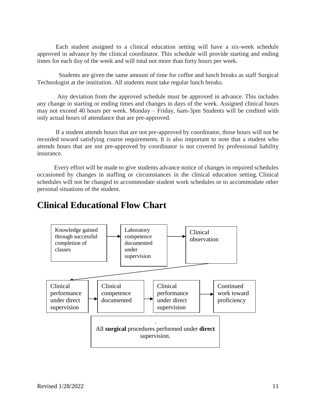Each student assigned to a clinical education setting will have a six-week schedule approved in advance by the clinical coordinator. This schedule will provide starting and ending times for each day of the week and will total not more than forty hours per week.

 Students are given the same amount of time for coffee and lunch breaks as staff Surgical Technologist at the institution. All students must take regular lunch breaks.

Any deviation from the approved schedule must be approved in advance. This includes any change in starting or ending times and changes in days of the week. Assigned clinical hours may not exceed 40 hours per week. Monday – Friday, 6am-3pm Students will be credited with only actual hours of attendance that are pre-approved.

If a student attends hours that are not pre-approved by coordinator, those hours will not be recorded toward satisfying course requirements. It is also important to note that a student who attends hours that are not pre-approved by coordinator is not covered by professional liability insurance.

 Every effort will be made to give students advance notice of changes in required schedules occasioned by changes in staffing or circumstances in the clinical education setting. Clinical schedules will not be changed to accommodate student work schedules or to accommodate other personal situations of the student.

### <span id="page-10-0"></span>**Clinical Educational Flow Chart**

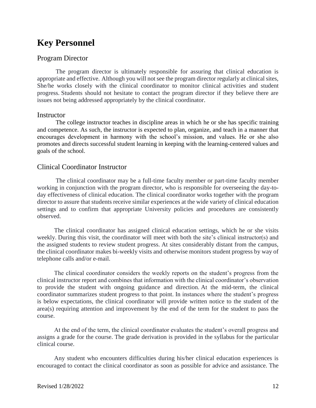### **Key Personnel**

#### <span id="page-11-0"></span>Program Director

The program director is ultimately responsible for assuring that clinical education is appropriate and effective. Although you will not see the program director regularly at clinical sites, She/he works closely with the clinical coordinator to monitor clinical activities and student progress. Students should not hesitate to contact the program director if they believe there are issues not being addressed appropriately by the clinical coordinator.

#### <span id="page-11-2"></span><span id="page-11-1"></span>**Instructor**

The college instructor teaches in discipline areas in which he or she has specific training and competence. As such, the instructor is expected to plan, organize, and teach in a manner that encourages development in harmony with the school's mission, and values. He or she also promotes and directs successful student learning in keeping with the learning-centered values and goals of the school.

#### Clinical Coordinator Instructor

The clinical coordinator may be a full-time faculty member or part-time faculty member working in conjunction with the program director, who is responsible for overseeing the day-today effectiveness of clinical education. The clinical coordinator works together with the program director to assure that students receive similar experiences at the wide variety of clinical education settings and to confirm that appropriate University policies and procedures are consistently observed.

 The clinical coordinator has assigned clinical education settings, which he or she visits weekly. During this visit, the coordinator will meet with both the site's clinical instructor(s) and the assigned students to review student progress. At sites considerably distant from the campus, the clinical coordinator makes bi-weekly visits and otherwise monitors student progress by way of telephone calls and/or e-mail.

 The clinical coordinator considers the weekly reports on the student's progress from the clinical instructor report and combines that information with the clinical coordinator's observation to provide the student with ongoing guidance and direction. At the mid-term, the clinical coordinator summarizes student progress to that point. In instances where the student's progress is below expectations, the clinical coordinator will provide written notice to the student of the area(s) requiring attention and improvement by the end of the term for the student to pass the course.

 At the end of the term, the clinical coordinator evaluates the student's overall progress and assigns a grade for the course. The grade derivation is provided in the syllabus for the particular clinical course.

 Any student who encounters difficulties during his/her clinical education experiences is encouraged to contact the clinical coordinator as soon as possible for advice and assistance. The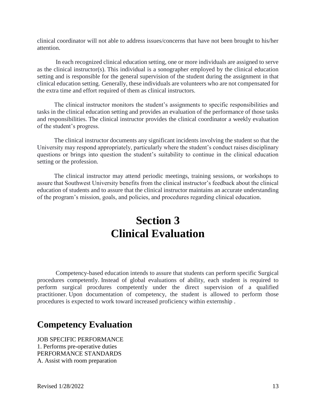clinical coordinator will not able to address issues/concerns that have not been brought to his/her attention.

In each recognized clinical education setting, one or more individuals are assigned to serve as the clinical instructor(s). This individual is a sonographer employed by the clinical education setting and is responsible for the general supervision of the student during the assignment in that clinical education setting. Generally, these individuals are volunteers who are not compensated for the extra time and effort required of them as clinical instructors.

 The clinical instructor monitors the student's assignments to specific responsibilities and tasks in the clinical education setting and provides an evaluation of the performance of those tasks and responsibilities. The clinical instructor provides the clinical coordinator a weekly evaluation of the student's progress.

 The clinical instructor documents any significant incidents involving the student so that the University may respond appropriately, particularly where the student's conduct raises disciplinary questions or brings into question the student's suitability to continue in the clinical education setting or the profession.

<span id="page-12-0"></span> The clinical instructor may attend periodic meetings, training sessions, or workshops to assure that Southwest University benefits from the clinical instructor's feedback about the clinical education of students and to assure that the clinical instructor maintains an accurate understanding of the program's mission, goals, and policies, and procedures regarding clinical education.

## **Section 3 Clinical Evaluation**

<span id="page-12-1"></span>Competency-based education intends to assure that students can perform specific Surgical procedures competently. Instead of global evaluations of ability, each student is required to perform surgical procdures competently under the direct supervision of a qualified practitioner. Upon documentation of competency, the student is allowed to perform those procedures is expected to work toward increased proficiency within externship .

### <span id="page-12-2"></span>**Competency Evaluation**

JOB SPECIFIC PERFORMANCE 1. Performs pre-operative duties PERFORMANCE STANDARDS A. Assist with room preparation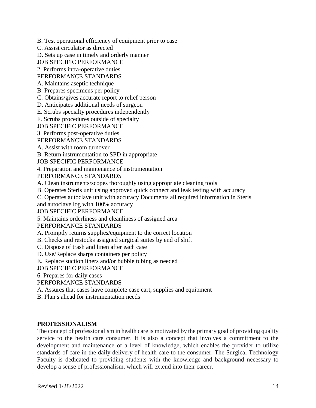B. Test operational efficiency of equipment prior to case

C. Assist circulator as directed

D. Sets up case in timely and orderly manner

JOB SPECIFIC PERFORMANCE

2. Performs intra-operative duties

PERFORMANCE STANDARDS

A. Maintains aseptic technique

B. Prepares specimens per policy

C. Obtains/gives accurate report to relief person

D. Anticipates additional needs of surgeon

E. Scrubs specialty procedures independently

F. Scrubs procedures outside of specialty

JOB SPECIFIC PERFORMANCE

3. Performs post-operative duties

PERFORMANCE STANDARDS

A. Assist with room turnover

B. Return instrumentation to SPD in appropriate

JOB SPECIFIC PERFORMANCE

4. Preparation and maintenance of instrumentation

PERFORMANCE STANDARDS

A. Clean instruments/scopes thoroughly using appropriate cleaning tools

B. Operates Steris unit using approved quick connect and leak testing with accuracy

C. Operates autoclave unit with accuracy Documents all required information in Steris

and autoclave log with 100% accuracy

JOB SPECIFIC PERFORMANCE

5. Maintains orderliness and cleanliness of assigned area

PERFORMANCE STANDARDS

A. Promptly returns supplies/equipment to the correct location

B. Checks and restocks assigned surgical suites by end of shift

C. Dispose of trash and linen after each case

D. Use/Replace sharps containers per policy

E. Replace suction liners and/or bubble tubing as needed

JOB SPECIFIC PERFORMANCE

6. Prepares for daily cases

PERFORMANCE STANDARDS

A. Assures that cases have complete case cart, supplies and equipment

B. Plan s ahead for instrumentation needs

#### **PROFESSIONALISM**

The concept of professionalism in health care is motivated by the primary goal of providing quality service to the health care consumer. It is also a concept that involves a commitment to the development and maintenance of a level of knowledge, which enables the provider to utilize standards of care in the daily delivery of health care to the consumer. The Surgical Technology Faculty is dedicated to providing students with the knowledge and background necessary to develop a sense of professionalism, which will extend into their career.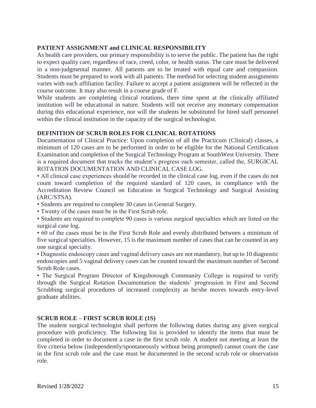#### **PATIENT ASSIGNMENT and CLINICAL RESPONSIBILITY**

As health care providers, our primary responsibility is to serve the public. The patient has the right to expect quality care, regardless of race, creed, color, or health status. The care must be delivered in a non-judgmental manner. All patients are to be treated with equal care and compassion. Students must be prepared to work with all patients. The method for selecting student assignments varies with each affiliation facility. Failure to accept a patient assignment will be reflected in the course outcome. It may also result in a course grade of F.

While students are completing clinical rotations, there time spent at the clinically affiliated institution will be educational in nature. Students will not receive any monetary compensation during this educational experience, nor will the students be substituted for hired staff personnel within the clinical institution in the capacity of the surgical technologist.

#### **DEFINITION OF SCRUB ROLES FOR CLINICAL ROTATIONS**

Documentation of Clinical Practice: Upon completion of all the Practicum (Clinical) classes, a minimum of 120 cases are to be performed in order to be eligible for the National Certification Examination and completion of the Surgical Technology Program at SouthWest University. There is a required document that tracks the student's progress each semester, called the, SURGICAL ROTATION DOCUMENTATION AND CLINICAL CASE LOG.

• All clinical case experiences should be recorded in the clinical case log, even if the cases do not count toward completion of the required standard of 120 cases, in compliance with the Accreditation Review Council on Education in Surgical Technology and Surgical Assisting (ARC/STSA).

• Students are required to complete 30 cases in General Surgery.

• Twenty of the cases must be in the First Scrub role.

• Students are required to complete 90 cases is various surgical specialties which are listed on the surgical case log.

• 60 of the cases must be in the First Scrub Role and evenly distributed between a minimum of five surgical specialties. However, 15 is the maximum number of cases that can be counted in any one surgical specialty.

• Diagnostic endoscopy cases and vaginal delivery cases are not mandatory, but up to 10 diagnostic endoscopies and 5 vaginal delivery cases can be counted toward the maximum number of Second Scrub Role cases.

• The Surgical Program Director of Kingsborough Community College is required to verify through the Surgical Rotation Documentation the students' progression in First and Second Scrubbing surgical procedures of increased complexity as he/she moves towards entry-level graduate abilities.

#### **SCRUB ROLE – FIRST SCRUB ROLE (1S)**

The student surgical technologist shall perform the following duties during any given surgical procedure with proficiency. The following list is provided to identify the items that must be completed in order to document a case in the first scrub role. A student not meeting at least the five criteria below (independently/spontaneously without being prompted) cannot count the case in the first scrub role and the case must be documented in the second scrub role or observation role.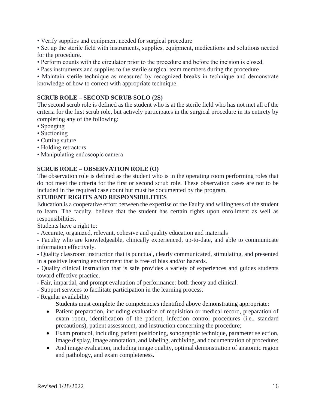• Verify supplies and equipment needed for surgical procedure

• Set up the sterile field with instruments, supplies, equipment, medications and solutions needed for the procedure.

- Perform counts with the circulator prior to the procedure and before the incision is closed.
- Pass instruments and supplies to the sterile surgical team members during the procedure

• Maintain sterile technique as measured by recognized breaks in technique and demonstrate knowledge of how to correct with appropriate technique.

#### **SCRUB ROLE – SECOND SCRUB SOLO (2S)**

The second scrub role is defined as the student who is at the sterile field who has not met all of the criteria for the first scrub role, but actively participates in the surgical procedure in its entirety by completing any of the following:

- Sponging
- Suctioning
- Cutting suture
- Holding retractors
- Manipulating endoscopic camera

#### **SCRUB ROLE – OBSERVATION ROLE (O)**

The observation role is defined as the student who is in the operating room performing roles that do not meet the criteria for the first or second scrub role. These observation cases are not to be included in the required case count but must be documented by the program.

#### **STUDENT RIGHTS AND RESPONSIBILITIES**

Education is a cooperative effort between the expertise of the Faulty and willingness of the student to learn. The faculty, believe that the student has certain rights upon enrollment as well as responsibilities.

Students have a right to:

- Accurate, organized, relevant, cohesive and quality education and materials

- Faculty who are knowledgeable, clinically experienced, up-to-date, and able to communicate information effectively.

- Quality classroom instruction that is punctual, clearly communicated, stimulating, and presented in a positive learning environment that is free of bias and/or hazards.

- Quality clinical instruction that is safe provides a variety of experiences and guides students toward effective practice.

- Fair, impartial, and prompt evaluation of performance: both theory and clinical.
- Support services to facilitate participation in the learning process.
- Regular availability

Students must complete the competencies identified above demonstrating appropriate:

- Patient preparation, including evaluation of requisition or medical record, preparation of exam room, identification of the patient, infection control procedures (i.e., standard precautions), patient assessment, and instruction concerning the procedure;
- Exam protocol, including patient positioning, sonographic technique, parameter selection, image display, image annotation, and labeling, archiving, and documentation of procedure;
- And image evaluation, including image quality, optimal demonstration of anatomic region and pathology, and exam completeness.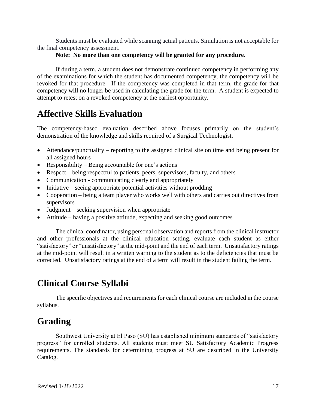Students must be evaluated while scanning actual patients. Simulation is not acceptable for the final competency assessment.

#### **Note: No more than one competency will be granted for any procedure.**

If during a term, a student does not demonstrate continued competency in performing any of the examinations for which the student has documented competency, the competency will be revoked for that procedure. If the competency was completed in that term, the grade for that competency will no longer be used in calculating the grade for the term. A student is expected to attempt to retest on a revoked competency at the earliest opportunity.

### **Affective Skills Evaluation**

The competency-based evaluation described above focuses primarily on the student's demonstration of the knowledge and skills required of a Surgical Technologist.

- Attendance/punctuality reporting to the assigned clinical site on time and being present for all assigned hours
- Responsibility Being accountable for one's actions
- Respect being respectful to patients, peers, supervisors, faculty, and others
- Communication communicating clearly and appropriately
- Initiative seeing appropriate potential activities without prodding
- Cooperation being a team player who works well with others and carries out directives from supervisors
- Judgment seeking supervision when appropriate
- Attitude having a positive attitude, expecting and seeking good outcomes

The clinical coordinator, using personal observation and reports from the clinical instructor and other professionals at the clinical education setting, evaluate each student as either "satisfactory" or "unsatisfactory" at the mid-point and the end of each term. Unsatisfactory ratings at the mid-point will result in a written warning to the student as to the deficiencies that must be corrected. Unsatisfactory ratings at the end of a term will result in the student failing the term.

### <span id="page-16-0"></span>**Clinical Course Syllabi**

The specific objectives and requirements for each clinical course are included in the course syllabus.

### <span id="page-16-1"></span>**Grading**

Southwest University at El Paso (SU) has established minimum standards of "satisfactory progress" for enrolled students. All students must meet SU Satisfactory Academic Progress requirements. The standards for determining progress at SU are described in the University Catalog.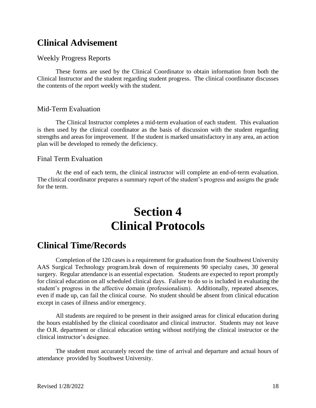### <span id="page-17-0"></span>**Clinical Advisement**

#### <span id="page-17-1"></span>Weekly Progress Reports

These forms are used by the Clinical Coordinator to obtain information from both the Clinical Instructor and the student regarding student progress. The clinical coordinator discusses the contents of the report weekly with the student.

#### <span id="page-17-2"></span>Mid-Term Evaluation

The Clinical Instructor completes a mid-term evaluation of each student. This evaluation is then used by the clinical coordinator as the basis of discussion with the student regarding strengths and areas for improvement. If the student is marked unsatisfactory in any area, an action plan will be developed to remedy the deficiency.

#### <span id="page-17-3"></span>Final Term Evaluation

<span id="page-17-4"></span>At the end of each term, the clinical instructor will complete an end-of-term evaluation. The clinical coordinator prepares a summary report of the student's progress and assigns the grade for the term.

## **Section 4 Clinical Protocols**

### <span id="page-17-6"></span><span id="page-17-5"></span>**Clinical Time/Records**

Completion of the 120 cases is a requirement for graduation from the Southwest University AAS Surgical Technology program.brak down of requirements 90 specialty cases, 30 general surgery. Regular attendance is an essential expectation. Students are expected to report promptly for clinical education on all scheduled clinical days. Failure to do so is included in evaluating the student's progress in the affective domain (professionalism). Additionally, repeated absences, even if made up, can fail the clinical course. No student should be absent from clinical education except in cases of illness and/or emergency.

All students are required to be present in their assigned areas for clinical education during the hours established by the clinical coordinator and clinical instructor. Students may not leave the O.R. department or clinical education setting without notifying the clinical instructor or the clinical instructor's designee.

The student must accurately record the time of arrival and departure and actual hours of attendance provided by Southwest University.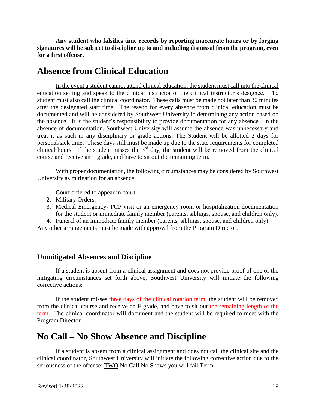**Any student who falsifies time records by reporting inaccurate hours or by forging signatures will be subject to discipline up to and including dismissal from the program, even for a first offense.** 

### <span id="page-18-0"></span>**Absence from Clinical Education**

In the event a student cannot attend clinical education, the student must call into the clinical education setting and speak to the clinical instructor or the clinical instructor's designee. The student must also call the clinical coordinator. These calls must be made not later than 30 minutes after the designated start time. The reason for every absence from clinical education must be documented and will be considered by Southwest University in determining any action based on the absence. It is the student's responsibility to provide documentation for any absence. In the absence of documentation, Southwest University will assume the absence was unnecessary and treat it as such in any disciplinary or grade actions. The Student will be allotted 2 days for personal/sick time. These days still must be made up due to the state requirements for completed clinical hours. If the student misses the  $3<sup>rd</sup>$  day, the student will be removed from the clinical course and receive an F grade, and have to sit out the remaining term.

With proper documentation, the following circumstances may be considered by Southwest University as mitigation for an absence:

- 1. Court ordered to appear in court.
- 2. Military Orders.
- 3. Medical Emergency- PCP visit or an emergency room or hospitalization documentation for the student or immediate family member (parents, siblings, spouse, and children only).

4. Funeral of an immediate family member (parents, siblings, spouse, and children only).

Any other arrangements must be made with approval from the Program Director.

#### <span id="page-18-1"></span>**Unmitigated Absences and Discipline**

If a student is absent from a clinical assignment and does not provide proof of one of the mitigating circumstances set forth above, Southwest University will initiate the following corrective actions:

If the student misses three days of the clinical rotation term, the student will be removed from the clinical course and receive an F grade, and have to sit out the remaining length of the term. The clinical coordinator will document and the student will be required to meet with the Program Director.

### <span id="page-18-2"></span>**No Call – No Show Absence and Discipline**

If a student is absent from a clinical assignment and does not call the clinical site and the clinical coordinator, Southwest University will initiate the following corrective action due to the seriousness of the offense: TWO No Call No Shows you will fail Term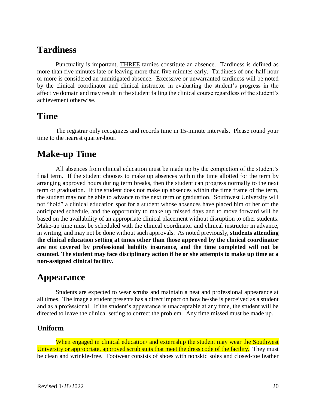### <span id="page-19-0"></span>**Tardiness**

Punctuality is important, THREE tardies constitute an absence. Tardiness is defined as more than five minutes late or leaving more than five minutes early. Tardiness of one-half hour or more is considered an unmitigated absence. Excessive or unwarranted tardiness will be noted by the clinical coordinator and clinical instructor in evaluating the student's progress in the affective domain and may result in the student failing the clinical course regardless of the student's achievement otherwise.

#### <span id="page-19-1"></span>**Time**

The registrar only recognizes and records time in 15-minute intervals. Please round your time to the nearest quarter-hour.

### <span id="page-19-2"></span>**Make-up Time**

All absences from clinical education must be made up by the completion of the student's final term. If the student chooses to make up absences within the time allotted for the term by arranging approved hours during term breaks, then the student can progress normally to the next term or graduation. If the student does not make up absences within the time frame of the term, the student may not be able to advance to the next term or graduation. Southwest University will not "hold" a clinical education spot for a student whose absences have placed him or her off the anticipated schedule, and the opportunity to make up missed days and to move forward will be based on the availability of an appropriate clinical placement without disruption to other students. Make-up time must be scheduled with the clinical coordinator and clinical instructor in advance, in writing, and may not be done without such approvals. As noted previously, **students attending the clinical education setting at times other than those approved by the clinical coordinator are not covered by professional liability insurance, and the time completed will not be counted. The student may face disciplinary action if he or she attempts to make up time at a non-assigned clinical facility.**

### <span id="page-19-3"></span>**Appearance**

Students are expected to wear scrubs and maintain a neat and professional appearance at all times. The image a student presents has a direct impact on how he/she is perceived as a student and as a professional. If the student's appearance is unacceptable at any time, the student will be directed to leave the clinical setting to correct the problem. Any time missed must be made up.

#### <span id="page-19-4"></span>**Uniform**

When engaged in clinical education/ and externship the student may wear the Southwest University or appropriate, approved scrub suits that meet the dress code of the facility. They must be clean and wrinkle-free. Footwear consists of shoes with nonskid soles and closed-toe leather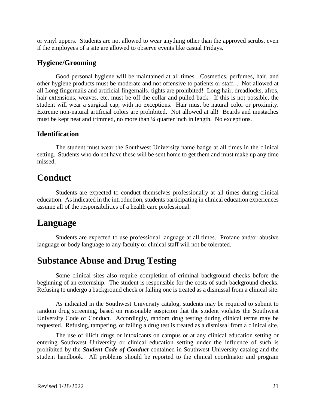or vinyl uppers. Students are not allowed to wear anything other than the approved scrubs, even if the employees of a site are allowed to observe events like casual Fridays.

#### <span id="page-20-0"></span>**Hygiene/Grooming**

Good personal hygiene will be maintained at all times. Cosmetics, perfumes, hair, and other hygiene products must be moderate and not offensive to patients or staff. . Not allowed at all Long fingernails and artificial fingernails. tights are prohibited! Long hair, dreadlocks, afros, hair extensions, weaves, etc. must be off the collar and pulled back. If this is not possible, the student will wear a surgical cap, with no exceptions. Hair must be natural color or proximity. Extreme non-natural artificial colors are prohibited. Not allowed at all! Beards and mustaches must be kept neat and trimmed, no more than ¼ quarter inch in length. No exceptions.

#### <span id="page-20-1"></span>**Identification**

The student must wear the Southwest University name badge at all times in the clinical setting. Students who do not have these will be sent home to get them and must make up any time missed.

#### <span id="page-20-2"></span>**Conduct**

Students are expected to conduct themselves professionally at all times during clinical education. As indicated in the introduction, students participating in clinical education experiences assume all of the responsibilities of a health care professional.

#### <span id="page-20-3"></span>**Language**

Students are expected to use professional language at all times. Profane and/or abusive language or body language to any faculty or clinical staff will not be tolerated.

#### <span id="page-20-4"></span>**Substance Abuse and Drug Testing**

Some clinical sites also require completion of criminal background checks before the beginning of an externship. The student is responsible for the costs of such background checks. Refusing to undergo a background check or failing one is treated as a dismissal from a clinical site.

As indicated in the Southwest University catalog, students may be required to submit to random drug screening, based on reasonable suspicion that the student violates the Southwest University Code of Conduct. Accordingly, random drug testing during clinical terms may be requested. Refusing, tampering, or failing a drug test is treated as a dismissal from a clinical site.

The use of illicit drugs or intoxicants on campus or at any clinical education setting or entering Southwest University or clinical education setting under the influence of such is prohibited by the *Student Code of Conduct* contained in Southwest University catalog and the student handbook. All problems should be reported to the clinical coordinator and program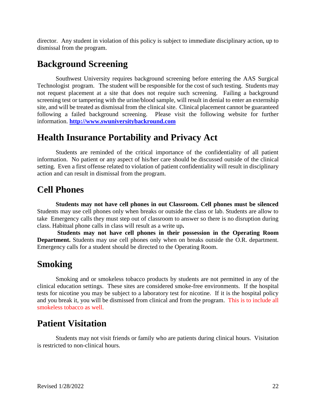director. Any student in violation of this policy is subject to immediate disciplinary action, up to dismissal from the program.

### <span id="page-21-0"></span>**Background Screening**

Southwest University requires background screening before entering the AAS Surgical Technologist program. The student will be responsible for the cost of such testing. Students may not request placement at a site that does not require such screening. Failing a background screening test or tampering with the urine/blood sample, will result in denial to enter an externship site, and will be treated as dismissal from the clinical site. Clinical placement cannot be guaranteed following a failed background screening. Please visit the following website for further information. **[http://www.swuniversitybackround.com](http://www.swuniversitybackround.com/)**

### <span id="page-21-1"></span>**Health Insurance Portability and Privacy Act**

Students are reminded of the critical importance of the confidentiality of all patient information. No patient or any aspect of his/her care should be discussed outside of the clinical setting. Even a first offense related to violation of patient confidentiality will result in disciplinary action and can result in dismissal from the program.

### <span id="page-21-2"></span>**Cell Phones**

**Students may not have cell phones in out Classroom. Cell phones must be silenced**  Students may use cell phones only when breaks or outside the class or lab. Students are allow to take Emergency calls they must step out of classroom to answer so there is no disruption during class. Habitual phone calls in class will result as a write up**.**

**Students may not have cell phones in their possession in the Operating Room Department.** Students may use cell phones only when on breaks outside the O.R. department. Emergency calls for a student should be directed to the Operating Room.

### <span id="page-21-3"></span>**Smoking**

Smoking and or smokeless tobacco products by students are not permitted in any of the clinical education settings. These sites are considered smoke-free environments. If the hospital tests for nicotine you may be subject to a laboratory test for nicotine. If it is the hospital policy and you break it, you will be dismissed from clinical and from the program. This is to include all smokeless tobacco as well.

### **Patient Visitation**

Students may not visit friends or family who are patients during clinical hours. Visitation is restricted to non-clinical hours.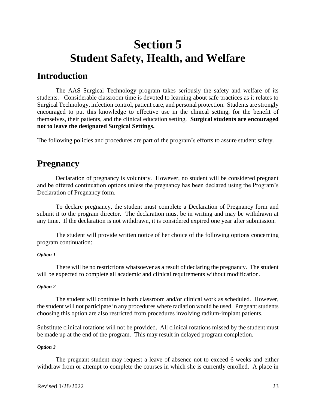## <span id="page-22-0"></span>**Section 5 Student Safety, Health, and Welfare**

#### <span id="page-22-2"></span><span id="page-22-1"></span>**Introduction**

The AAS Surgical Technology program takes seriously the safety and welfare of its students. Considerable classroom time is devoted to learning about safe practices as it relates to Surgical Technology, infection control, patient care, and personal protection. Students are strongly encouraged to put this knowledge to effective use in the clinical setting, for the benefit of themselves, their patients, and the clinical education setting. **Surgical students are encouraged not to leave the designated Surgical Settings.**

The following policies and procedures are part of the program's efforts to assure student safety.

### <span id="page-22-3"></span>**Pregnancy**

Declaration of pregnancy is voluntary. However, no student will be considered pregnant and be offered continuation options unless the pregnancy has been declared using the Program's Declaration of Pregnancy form.

To declare pregnancy, the student must complete a Declaration of Pregnancy form and submit it to the program director. The declaration must be in writing and may be withdrawn at any time. If the declaration is not withdrawn, it is considered expired one year after submission.

The student will provide written notice of her choice of the following options concerning program continuation:

#### *Option 1*

There will be no restrictions whatsoever as a result of declaring the pregnancy. The student will be expected to complete all academic and clinical requirements without modification.

#### *Option 2*

The student will continue in both classroom and/or clinical work as scheduled. However, the student will not participate in any procedures where radiation would be used. Pregnant students choosing this option are also restricted from procedures involving radium-implant patients.

Substitute clinical rotations will not be provided. All clinical rotations missed by the student must be made up at the end of the program. This may result in delayed program completion.

#### *Option 3*

The pregnant student may request a leave of absence not to exceed 6 weeks and either withdraw from or attempt to complete the courses in which she is currently enrolled. A place in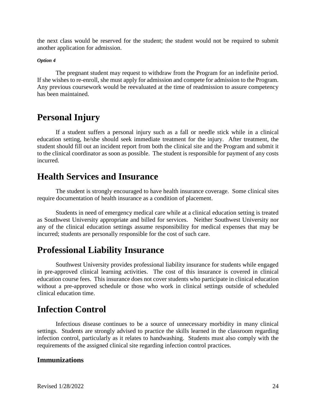the next class would be reserved for the student; the student would not be required to submit another application for admission.

#### *Option 4*

The pregnant student may request to withdraw from the Program for an indefinite period. If she wishes to re-enroll, she must apply for admission and compete for admission to the Program. Any previous coursework would be reevaluated at the time of readmission to assure competency has been maintained.

### <span id="page-23-0"></span>**Personal Injury**

If a student suffers a personal injury such as a fall or needle stick while in a clinical education setting, he/she should seek immediate treatment for the injury. After treatment, the student should fill out an incident report from both the clinical site and the Program and submit it to the clinical coordinator as soon as possible. The student is responsible for payment of any costs incurred.

#### <span id="page-23-1"></span>**Health Services and Insurance**

The student is strongly encouraged to have health insurance coverage. Some clinical sites require documentation of health insurance as a condition of placement.

Students in need of emergency medical care while at a clinical education setting is treated as Southwest University appropriate and billed for services. Neither Southwest University nor any of the clinical education settings assume responsibility for medical expenses that may be incurred; students are personally responsible for the cost of such care.

#### <span id="page-23-2"></span>**Professional Liability Insurance**

Southwest University provides professional liability insurance for students while engaged in pre-approved clinical learning activities. The cost of this insurance is covered in clinical education course fees. This insurance does not cover students who participate in clinical education without a pre-approved schedule or those who work in clinical settings outside of scheduled clinical education time.

### <span id="page-23-3"></span>**Infection Control**

Infectious disease continues to be a source of unnecessary morbidity in many clinical settings. Students are strongly advised to practice the skills learned in the classroom regarding infection control, particularly as it relates to handwashing. Students must also comply with the requirements of the assigned clinical site regarding infection control practices.

#### <span id="page-23-4"></span>**Immunizations**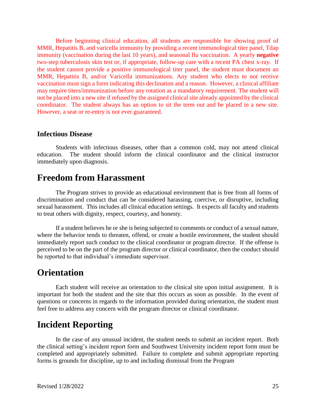Before beginning clinical education, all students are responsible for showing proof of MMR, Hepatitis B, and varicella immunity by providing a recent immunological titer panel, Tdap immunity (vaccination during the last 10 years), and seasonal flu vaccination. A yearly **negative** two-step tuberculosis skin test or, if appropriate, follow-up care with a recent PA chest x-ray. If the student cannot provide a positive immunological titer panel, the student must document an MMR, Hepatitis B, and/or Varicella immunizations. Any student who elects to not receive vaccination must sign a form indicating this declination and a reason. However, a clinical affiliate may require titers/immunization before any rotation as a mandatory requirement. The student will not be placed into a new site if refused by the assigned clinical site already appointed by the clinical coordinator. The student always has an option to sit the term out and be placed in a new site. However, a seat or re-entry is not ever guaranteed.

#### <span id="page-24-0"></span>**Infectious Disease**

Students with infectious diseases, other than a common cold, may not attend clinical education. The student should inform the clinical coordinator and the clinical instructor immediately upon diagnosis.

#### <span id="page-24-1"></span>**Freedom from Harassment**

The Program strives to provide an educational environment that is free from all forms of discrimination and conduct that can be considered harassing, coercive, or disruptive, including sexual harassment. This includes all clinical education settings. It expects all faculty and students to treat others with dignity, respect, courtesy, and honesty.

If a student believes he or she is being subjected to comments or conduct of a sexual nature, where the behavior tends to threaten, offend, or create a hostile environment, the student should immediately report such conduct to the clinical coordinator or program director. If the offense is perceived to be on the part of the program director or clinical coordinator, then the conduct should be reported to that individual's immediate supervisor.

#### <span id="page-24-2"></span>**Orientation**

Each student will receive an orientation to the clinical site upon initial assignment. It is important for both the student and the site that this occurs as soon as possible. In the event of questions or concerns in regards to the information provided during orientation, the student must feel free to address any concern with the program director or clinical coordinator.

### <span id="page-24-3"></span>**Incident Reporting**

<span id="page-24-4"></span>In the case of any unusual incident, the student needs to submit an incident report. Both the clinical setting's incident report form and Southwest University incident report form must be completed and appropriately submitted. Failure to complete and submit appropriate reporting forms is grounds for discipline, up to and including dismissal from the Program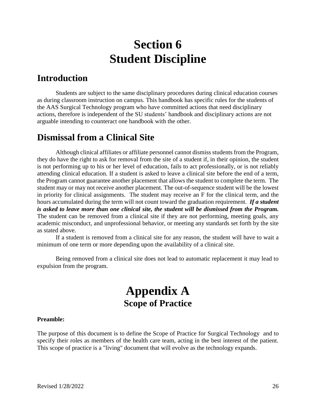## **Section 6 Student Discipline**

#### <span id="page-25-1"></span><span id="page-25-0"></span>**Introduction**

Students are subject to the same disciplinary procedures during clinical education courses as during classroom instruction on campus. This handbook has specific rules for the students of the AAS Surgical Technology program who have committed actions that need disciplinary actions, therefore is independent of the SU students' handbook and disciplinary actions are not arguable intending to counteract one handbook with the other.

### **Dismissal from a Clinical Site**

Although clinical affiliates or affiliate personnel cannot dismiss students from the Program, they do have the right to ask for removal from the site of a student if, in their opinion, the student is not performing up to his or her level of education, fails to act professionally, or is not reliably attending clinical education. If a student is asked to leave a clinical site before the end of a term, the Program cannot guarantee another placement that allows the student to complete the term. The student may or may not receive another placement. The out-of-sequence student will be the lowest in priority for clinical assignments. The student may receive an F for the clinical term, and the hours accumulated during the term will not count toward the graduation requirement. *If a student is asked to leave more than one clinical site, the student will be dismissed from the Program.* The student can be removed from a clinical site if they are not performing, meeting goals, any academic misconduct, and unprofessional behavior, or meeting any standards set forth by the site as stated above.

If a student is removed from a clinical site for any reason, the student will have to wait a minimum of one term or more depending upon the availability of a clinical site.

<span id="page-25-2"></span>Being removed from a clinical site does not lead to automatic replacement it may lead to expulsion from the program.

### **Appendix A Scope of Practice**

#### <span id="page-25-3"></span>**Preamble:**

The purpose of this document is to define the Scope of Practice for Surgical Technology and to specify their roles as members of the health care team, acting in the best interest of the patient. This scope of practice is a "living" document that will evolve as the technology expands.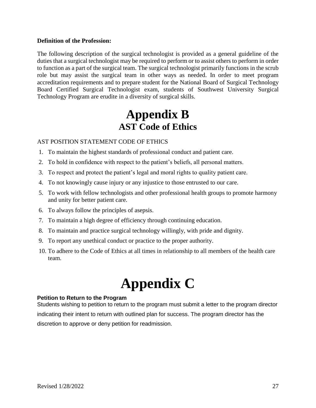#### **Definition of the Profession:**

The following description of the surgical technologist is provided as a general guideline of the duties that a surgical technologist may be required to perform or to assist others to perform in order to function as a part of the surgical team. The surgical technologist primarily functions in the scrub role but may assist the surgical team in other ways as needed. In order to meet program accreditation requirements and to prepare student for the National Board of Surgical Technology Board Certified Surgical Technologist exam, students of Southwest University Surgical Technology Program are erudite in a diversity of surgical skills.

## **Appendix B AST Code of Ethics**

#### <span id="page-26-2"></span><span id="page-26-1"></span><span id="page-26-0"></span>AST POSITION STATEMENT CODE OF ETHICS

- <span id="page-26-3"></span>1. To maintain the highest standards of professional conduct and patient care.
- <span id="page-26-4"></span>2. To hold in confidence with respect to the patient's beliefs, all personal matters.
- <span id="page-26-5"></span>3. To respect and protect the patient's legal and moral rights to quality patient care.
- <span id="page-26-6"></span>4. To not knowingly cause injury or any injustice to those entrusted to our care.
- <span id="page-26-7"></span>5. To work with fellow technologists and other professional health groups to promote harmony and unity for better patient care.
- <span id="page-26-8"></span>6. To always follow the principles of asepsis.
- <span id="page-26-9"></span>7. To maintain a high degree of efficiency through continuing education.
- <span id="page-26-10"></span>8. To maintain and practice surgical technology willingly, with pride and dignity.
- <span id="page-26-11"></span>9. To report any unethical conduct or practice to the proper authority.
- <span id="page-26-12"></span>10. To adhere to the Code of Ethics at all times in relationship to all members of the health care team.

## **Appendix C**

#### **Petition to Return to the Program**

Students wishing to petition to return to the program must submit a letter to the program director indicating their intent to return with outlined plan for success. The program director has the discretion to approve or deny petition for readmission.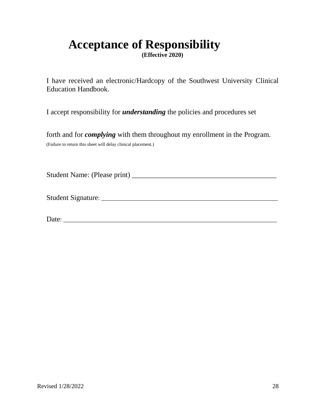## <span id="page-27-0"></span>**Acceptance of Responsibility**

**(Effective 2020)**

I have received an electronic/Hardcopy of the Southwest University Clinical Education Handbook.

I accept responsibility for *understanding* the policies and procedures set

forth and for *complying* with them throughout my enrollment in the Program. (Failure to return this sheet will delay clinical placement.)

Student Name: (Please print) \_\_\_\_\_\_\_\_\_\_\_\_\_\_\_\_\_\_\_\_\_\_\_\_\_\_\_\_\_\_\_\_\_\_\_\_\_\_\_\_

Student Signature: \_\_\_\_\_\_\_\_\_\_\_\_\_\_\_\_\_\_\_\_\_\_\_\_\_\_\_\_\_\_\_\_\_\_\_\_\_\_\_\_\_\_\_\_\_\_\_\_\_\_\_\_\_\_\_\_\_

Date: \_\_\_\_\_\_\_\_\_\_\_\_\_\_\_\_\_\_\_\_\_\_\_\_\_\_\_\_\_\_\_\_\_\_\_\_\_\_\_\_\_\_\_\_\_\_\_\_\_\_\_\_\_\_\_\_\_\_\_\_\_\_\_\_\_\_\_\_\_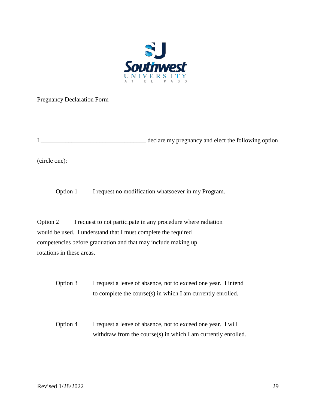

Pregnancy Declaration Form

I \_\_\_\_\_\_\_\_\_\_\_\_\_\_\_\_\_\_\_\_\_\_\_\_\_\_\_\_\_\_\_\_\_\_ declare my pregnancy and elect the following option

(circle one):

Option 1 I request no modification whatsoever in my Program.

Option 2 I request to not participate in any procedure where radiation would be used. I understand that I must complete the required competencies before graduation and that may include making up rotations in these areas.

Option 3 I request a leave of absence, not to exceed one year. I intend to complete the course(s) in which I am currently enrolled.

Option 4 I request a leave of absence, not to exceed one year. I will withdraw from the course(s) in which I am currently enrolled.